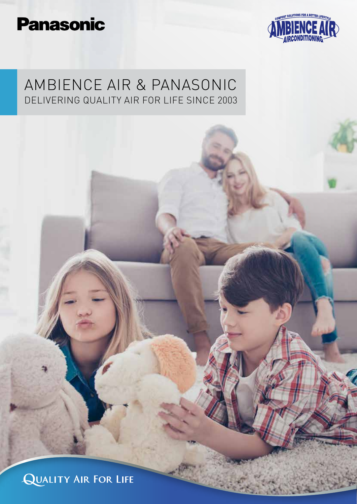# **Panasonic**



## AMBIENCE AIR & PANASONIC DELIVERING QUALITY AIR FOR LIFE SINCE 2003

**QUALITY AIR FOR LIFE**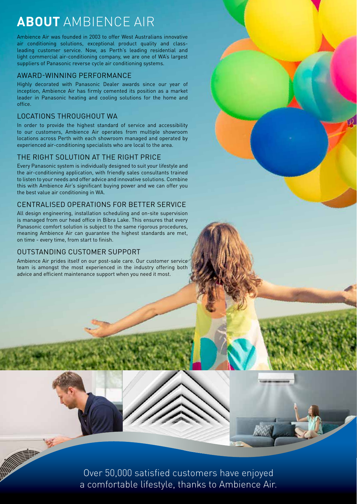## **ABOUT** AMBIENCE AIR

Ambience Air was founded in 2003 to offer West Australians innovative air conditioning solutions, exceptional product quality and classleading customer service. Now, as Perth's leading residential and light commercial air-conditioning company, we are one of WA's largest suppliers of Panasonic reverse cycle air conditioning systems.

### AWARD-WINNING PERFORMANCE

Highly decorated with Panasonic Dealer awards since our year of inception, Ambience Air has firmly cemented its position as a market leader in Panasonic heating and cooling solutions for the home and office.

## LOCATIONS THROUGHOUT WA

In order to provide the highest standard of service and accessibility to our customers, Ambience Air operates from multiple showroom locations across Perth with each showroom managed and operated by experienced air-conditioning specialists who are local to the area.

## THE RIGHT SOLUTION AT THE RIGHT PRICE

Every Panasonic system is individually designed to suit your lifestyle and the air-conditioning application, with friendly sales consultants trained to listen to your needs and offer advice and innovative solutions. Combine this with Ambience Air's significant buying power and we can offer you the best value air conditioning in WA.

## CENTRALISED OPERATIONS FOR BETTER SERVICE

All design engineering, installation scheduling and on-site supervision is managed from our head office in Bibra Lake. This ensures that every Panasonic comfort solution is subject to the same rigorous procedures, meaning Ambience Air can guarantee the highest standards are met, on time - every time, from start to finish.

## OUTSTANDING CUSTOMER SUPPORT

Ambience Air prides itself on our post-sale care. Our customer service team is amongst the most experienced in the industry offering both advice and efficient maintenance support when you need it most.

> Over 50,000 satisfied customers have enjoyed a comfortable lifestyle, thanks to Ambience Air.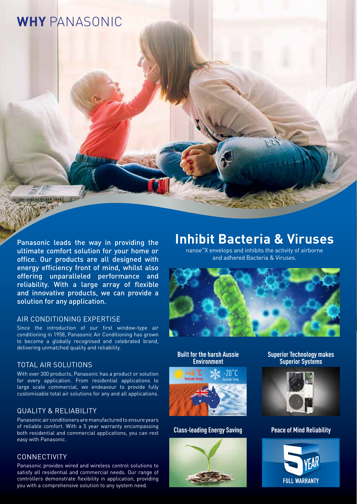## **WHY** PANASONIC

Panasonic leads the way in providing the ultimate comfort solution for your home or office. Our products are all designed with energy efficiency front of mind, whilst also offering unparalleled performance and reliability. With a large array of flexible and innovative products, we can provide a solution for any application.

### AIR CONDITIONING EXPERTISE

Since the introduction of our first window-type air conditioning in 1958, Panasonic Air Conditioning has grown to become a globally recognised and celebrated brand, delivering unmatched quality and reliability.

### TOTAL AIR SOLUTIONS

With over 300 products, Panasonic has a product or solution for every application. From residential applications to large scale commercial, we endeavour to provide fully customisable total air solutions for any and all applications.

## QUALITY & RELIABILITY

Panasonic air conditioners are manufactured to ensure years of reliable comfort. With a 5 year warranty encompassing both residential and commercial applications, you can rest easy with Panasonic.

### CONNECTIVITY

Panasonic provides wired and wireless control solutions to satisfy all residential and commercial needs. Our range of controllers demonstrate flexibility in application, providing you with a comprehensive solution to any system need.

## **Inhibit Bacteria & Viruses**

nanoe™X envelops and inhibits the activity of airborne and adhered Bacteria & Viruses.



**Built for the harsh Aussie Environment**



**Class-leading Energy Saving**



**Superior Technology makes Superior Systems**



#### **Peace of Mind Reliability**

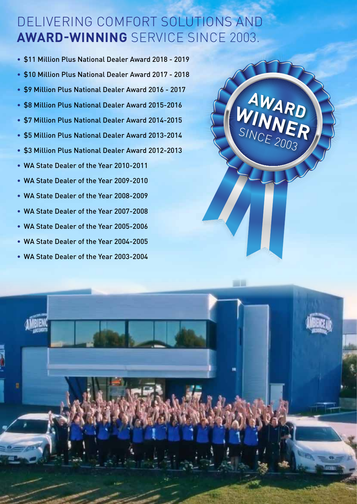## DELIVERING COMFORT SOLUTIONS AND **AWARD-WINNING** SERVICE SINCE 2003.

- \$11 Million Plus National Dealer Award 2018 2019 • \$10 Million Plus National Dealer Award 2017 - 2018 • \$9 Million Plus National Dealer Award 2016 - 2017 • \$8 Million Plus National Dealer Award 2015-2016 • \$7 Million Plus National Dealer Award 2014-2015 • \$5 Million Plus National Dealer Award 2013-2014 • \$3 Million Plus National Dealer Award 2012-2013 • WA State Dealer of the Year 2010-2011 • WA State Dealer of the Year 2009-2010 • WA State Dealer of the Year 2008-2009 • WA State Dealer of the Year 2007-2008
- WA State Dealer of the Year 2005-2006
- WA State Dealer of the Year 2004-2005
- WA State Dealer of the Year 2003-2004

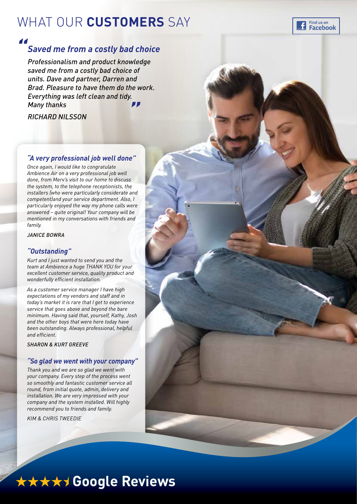## WHAT OUR **CUSTOMERS** SAY



## *Saved me from a costly bad choice*

*Professionalism and product knowledge saved me from a costly bad choice of units. Dave and partner, Darren and Brad. Pleasure to have them do the work. Everything was left clean and tidy. Many thanks "* 

*RICHARD NILSSON*

## *"A very professional job well done"*

*Once again, I would like to congratulate Ambience Air on a very professional job well done, from Merv's visit to our home to discuss the system, to the telephone receptionists, the installers (who were particularly considerate and competent)and your service department. Also, I particularly enjoyed the way my phone calls were answered – quite original! Your company will be mentioned in my conversations with friends and family.*

*JANICE BOWRA*

### *"Outstanding"*

*Kurt and I just wanted to send you and the team at Ambience a huge THANK YOU for your excellent customer service, quality product and wonderfully efficient installation.*

*As a customer service manager I have high expectations of my vendors and staff and in today's market it is rare that I get to experience service that goes above and beyond the bare minimum. Having said that, yourself, Kathy, Josh and the other boys that were here today have been outstanding. Always professional, helpful and efficient.*

*SHARON & KURT GREEVE*

### *"So glad we went with your company"*

*Thank you and we are so glad we went with your company. Every step of the process went so smoothly and fantastic customer service all round, from initial quote, admin, delivery and installation. We are very impressed with your company and the system installed. Will highly recommend you to friends and family.*

*KIM & CHRIS TWEEDIE*



Find us on **Facebook** 

# \*\*\*\*\* Google Reviews